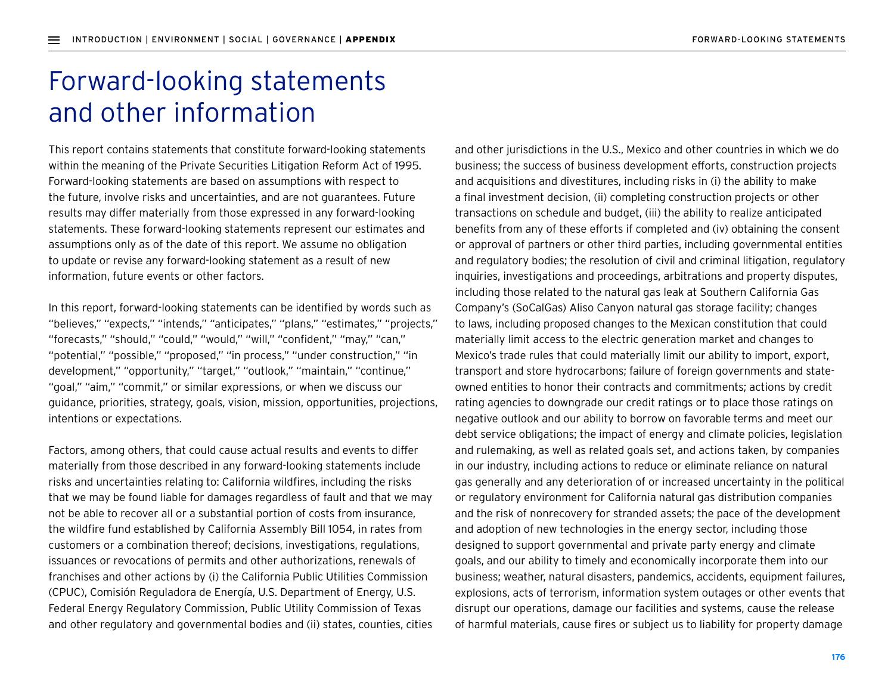## Forward-looking statements and other information

This report contains statements that constitute forward-looking statements within the meaning of the Private Securities Litigation Reform Act of 1995. Forward-looking statements are based on assumptions with respect to the future, involve risks and uncertainties, and are not guarantees. Future results may differ materially from those expressed in any forward-looking statements. These forward-looking statements represent our estimates and assumptions only as of the date of this report. We assume no obligation to update or revise any forward-looking statement as a result of new information, future events or other factors.

In this report, forward-looking statements can be identified by words such as "believes," "expects," "intends," "anticipates," "plans," "estimates," "projects," "forecasts," "should," "could," "would," "will," "confident," "may," "can," "potential," "possible," "proposed," "in process," "under construction," "in development," "opportunity," "target," "outlook," "maintain," "continue," "goal," "aim," "commit," or similar expressions, or when we discuss our guidance, priorities, strategy, goals, vision, mission, opportunities, projections, intentions or expectations.

Factors, among others, that could cause actual results and events to differ materially from those described in any forward-looking statements include risks and uncertainties relating to: California wildfires, including the risks that we may be found liable for damages regardless of fault and that we may not be able to recover all or a substantial portion of costs from insurance, the wildfire fund established by California Assembly Bill 1054, in rates from customers or a combination thereof; decisions, investigations, regulations, issuances or revocations of permits and other authorizations, renewals of franchises and other actions by (i) the California Public Utilities Commission (CPUC), Comisión Reguladora de Energía, U.S. Department of Energy, U.S. Federal Energy Regulatory Commission, Public Utility Commission of Texas and other regulatory and governmental bodies and (ii) states, counties, cities and other jurisdictions in the U.S., Mexico and other countries in which we do business; the success of business development efforts, construction projects and acquisitions and divestitures, including risks in (i) the ability to make a final investment decision, (ii) completing construction projects or other transactions on schedule and budget, (iii) the ability to realize anticipated benefits from any of these efforts if completed and (iv) obtaining the consent or approval of partners or other third parties, including governmental entities and regulatory bodies; the resolution of civil and criminal litigation, regulatory inquiries, investigations and proceedings, arbitrations and property disputes, including those related to the natural gas leak at Southern California Gas Company's (SoCalGas) Aliso Canyon natural gas storage facility; changes to laws, including proposed changes to the Mexican constitution that could materially limit access to the electric generation market and changes to Mexico's trade rules that could materially limit our ability to import, export, transport and store hydrocarbons; failure of foreign governments and stateowned entities to honor their contracts and commitments; actions by credit rating agencies to downgrade our credit ratings or to place those ratings on negative outlook and our ability to borrow on favorable terms and meet our debt service obligations; the impact of energy and climate policies, legislation and rulemaking, as well as related goals set, and actions taken, by companies in our industry, including actions to reduce or eliminate reliance on natural gas generally and any deterioration of or increased uncertainty in the political or regulatory environment for California natural gas distribution companies and the risk of nonrecovery for stranded assets; the pace of the development and adoption of new technologies in the energy sector, including those designed to support governmental and private party energy and climate goals, and our ability to timely and economically incorporate them into our business; weather, natural disasters, pandemics, accidents, equipment failures, explosions, acts of terrorism, information system outages or other events that disrupt our operations, damage our facilities and systems, cause the release of harmful materials, cause fires or subject us to liability for property damage